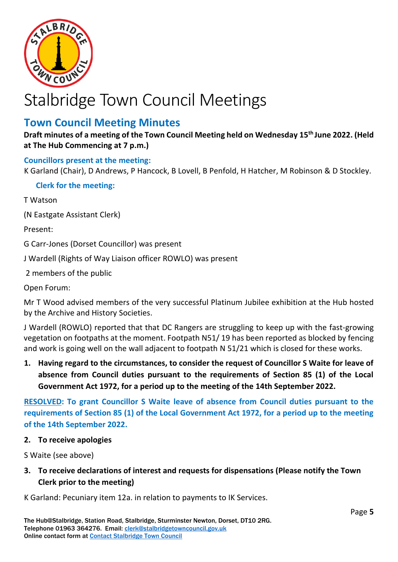

# Stalbridge Town Council Meetings

## **Town Council Meeting Minutes**

**Draft minutes of a meeting of the Town Council Meeting held on Wednesday 15 th June 2022. (Held at The Hub Commencing at 7 p.m.)**

## **Councillors present at the meeting:**

K Garland (Chair), D Andrews, P Hancock, B Lovell, B Penfold, H Hatcher, M Robinson & D Stockley.

**Clerk for the meeting:**

T Watson

(N Eastgate Assistant Clerk)

Present:

G Carr-Jones (Dorset Councillor) was present

J Wardell (Rights of Way Liaison officer ROWLO) was present

2 members of the public

Open Forum:

Mr T Wood advised members of the very successful Platinum Jubilee exhibition at the Hub hosted by the Archive and History Societies.

J Wardell (ROWLO) reported that that DC Rangers are struggling to keep up with the fast-growing vegetation on footpaths at the moment. Footpath N51/ 19 has been reported as blocked by fencing and work is going well on the wall adjacent to footpath N 51/21 which is closed for these works.

**1. Having regard to the circumstances, to consider the request of Councillor S Waite for leave of absence from Council duties pursuant to the requirements of Section 85 (1) of the Local Government Act 1972, for a period up to the meeting of the 14th September 2022.**

**RESOLVED: To grant Councillor S Waite leave of absence from Council duties pursuant to the requirements of Section 85 (1) of the Local Government Act 1972, for a period up to the meeting of the 14th September 2022.**

## **2. To receive apologies**

S Waite (see above)

## **3. To receive declarations of interest and requests for dispensations (Please notify the Town Clerk prior to the meeting)**

K Garland: Pecuniary item 12a. in relation to payments to IK Services.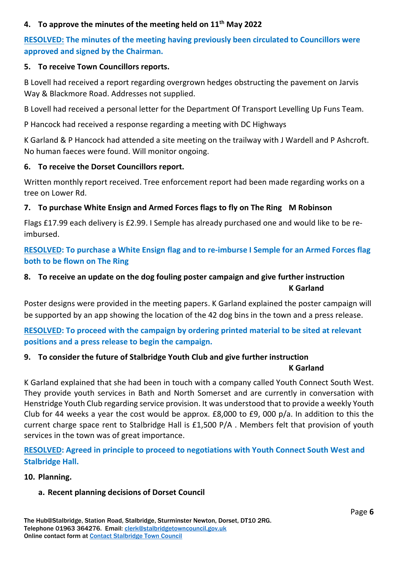## **4. To approve the minutes of the meeting held on 11th May 2022**

## **RESOLVED: The minutes of the meeting having previously been circulated to Councillors were approved and signed by the Chairman.**

#### **5. To receive Town Councillors reports.**

B Lovell had received a report regarding overgrown hedges obstructing the pavement on Jarvis Way & Blackmore Road. Addresses not supplied.

B Lovell had received a personal letter for the Department Of Transport Levelling Up Funs Team.

P Hancock had received a response regarding a meeting with DC Highways

K Garland & P Hancock had attended a site meeting on the trailway with J Wardell and P Ashcroft. No human faeces were found. Will monitor ongoing.

#### **6. To receive the Dorset Councillors report.**

Written monthly report received. Tree enforcement report had been made regarding works on a tree on Lower Rd.

### **7. To purchase White Ensign and Armed Forces flags to fly on The Ring M Robinson**

Flags £17.99 each delivery is £2.99. I Semple has already purchased one and would like to be reimbursed.

**RESOLVED: To purchase a White Ensign flag and to re-imburse I Semple for an Armed Forces flag both to be flown on The Ring**

## **8. To receive an update on the dog fouling poster campaign and give further instruction K Garland**

Poster designs were provided in the meeting papers. K Garland explained the poster campaign will be supported by an app showing the location of the 42 dog bins in the town and a press release.

**RESOLVED: To proceed with the campaign by ordering printed material to be sited at relevant positions and a press release to begin the campaign.** 

## **9. To consider the future of Stalbridge Youth Club and give further instruction K Garland**

K Garland explained that she had been in touch with a company called Youth Connect South West. They provide youth services in Bath and North Somerset and are currently in conversation with Henstridge Youth Club regarding service provision. It was understood that to provide a weekly Youth Club for 44 weeks a year the cost would be approx. £8,000 to £9, 000 p/a. In addition to this the current charge space rent to Stalbridge Hall is £1,500 P/A . Members felt that provision of youth services in the town was of great importance.

**RESOLVED: Agreed in principle to proceed to negotiations with Youth Connect South West and Stalbridge Hall.**

#### **10. Planning.**

#### **a. Recent planning decisions of Dorset Council**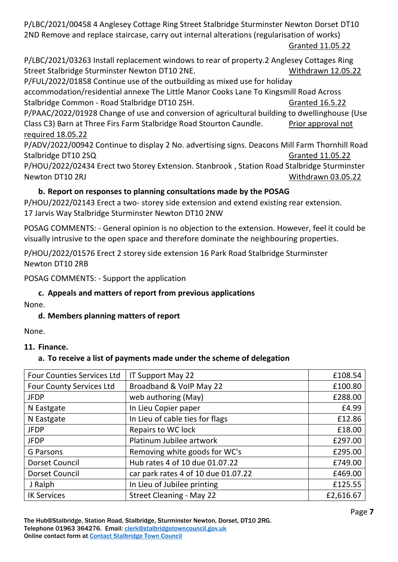P/LBC/2021/00458 4 Anglesey Cottage Ring Street Stalbridge Sturminster Newton Dorset DT10 2ND Remove and replace staircase, carry out internal alterations (regularisation of works) Granted 11.05.22

P/LBC/2021/03263 Install replacement windows to rear of property.2 Anglesey Cottages Ring Street Stalbridge Sturminster Newton DT10 2NE. Withdrawn 12.05.22

P/FUL/2022/01858 Continue use of the outbuilding as mixed use for holiday accommodation/residential annexe The Little Manor Cooks Lane To Kingsmill Road Across Stalbridge Common - Road Stalbridge DT10 2SH. Granted 16.5.22

P/PAAC/2022/01928 Change of use and conversion of agricultural building to dwellinghouse (Use Class C3) Barn at Three Firs Farm Stalbridge Road Stourton Caundle. Prior approval not required 18.05.22

P/ADV/2022/00942 Continue to display 2 No. advertising signs. Deacons Mill Farm Thornhill Road Stalbridge DT10 2SQ Granted 11.05.22

P/HOU/2022/02434 Erect two Storey Extension. Stanbrook , Station Road Stalbridge Sturminster Newton DT10 2RJ Withdrawn 03.05.22

## **b. Report on responses to planning consultations made by the POSAG**

P/HOU/2022/02143 Erect a two- storey side extension and extend existing rear extension. 17 Jarvis Way Stalbridge Sturminster Newton DT10 2NW

POSAG COMMENTS: - General opinion is no objection to the extension. However, feel it could be visually intrusive to the open space and therefore dominate the neighbouring properties.

P/HOU/2022/01576 Erect 2 storey side extension 16 Park Road Stalbridge Sturminster Newton DT10 2RB

POSAG COMMENTS: - Support the application

## **c. Appeals and matters of report from previous applications**

None.

## **d. Members planning matters of report**

None.

## **11. Finance.**

## **a. To receive a list of payments made under the scheme of delegation**

| <b>Four Counties Services Ltd</b> | IT Support May 22                   | £108.54   |
|-----------------------------------|-------------------------------------|-----------|
| <b>Four County Services Ltd</b>   | Broadband & VoIP May 22             | £100.80   |
| <b>JFDP</b>                       | web authoring (May)                 | £288.00   |
| N Eastgate                        | In Lieu Copier paper                | £4.99     |
| N Eastgate                        | In Lieu of cable ties for flags     | £12.86    |
| <b>JFDP</b>                       | Repairs to WC lock                  | £18.00    |
| <b>JFDP</b>                       | Platinum Jubilee artwork            | £297.00   |
| <b>G</b> Parsons                  | Removing white goods for WC's       | £295.00   |
| <b>Dorset Council</b>             | Hub rates 4 of 10 due 01.07.22      | £749.00   |
| Dorset Council                    | car park rates 4 of 10 due 01.07.22 | £469.00   |
| J Ralph                           | In Lieu of Jubilee printing         | £125.55   |
| <b>IK Services</b>                | <b>Street Cleaning - May 22</b>     | £2,616.67 |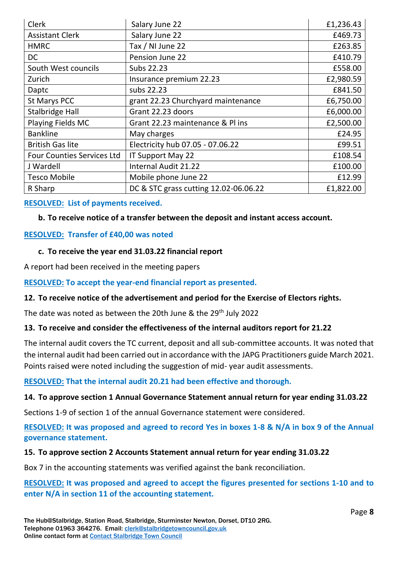| Clerk                             | Salary June 22                        | £1,236.43 |
|-----------------------------------|---------------------------------------|-----------|
| <b>Assistant Clerk</b>            | Salary June 22                        | £469.73   |
| <b>HMRC</b>                       | Tax / NI June 22                      | £263.85   |
| DC                                | Pension June 22                       | £410.79   |
| South West councils               | Subs 22.23                            | £558.00   |
| Zurich                            | Insurance premium 22.23               | £2,980.59 |
| Daptc                             | subs 22.23                            | £841.50   |
| St Marys PCC                      | grant 22.23 Churchyard maintenance    | £6,750.00 |
| <b>Stalbridge Hall</b>            | Grant 22.23 doors                     | £6,000.00 |
| Playing Fields MC                 | Grant 22.23 maintenance & Pl ins      | £2,500.00 |
| <b>Bankline</b>                   | May charges                           | £24.95    |
| <b>British Gas lite</b>           | Electricity hub 07.05 - 07.06.22      | £99.51    |
| <b>Four Counties Services Ltd</b> | IT Support May 22                     | £108.54   |
| J Wardell                         | Internal Audit 21.22                  | £100.00   |
| <b>Tesco Mobile</b>               | Mobile phone June 22                  | £12.99    |
| R Sharp                           | DC & STC grass cutting 12.02-06.06.22 | £1,822.00 |

### **RESOLVED: List of payments received.**

#### **b. To receive notice of a transfer between the deposit and instant access account.**

#### **RESOLVED: Transfer of £40,00 was noted**

#### **c. To receive the year end 31.03.22 financial report**

A report had been received in the meeting papers

## **RESOLVED: To accept the year-end financial report as presented.**

#### **12. To receive notice of the advertisement and period for the Exercise of Electors rights.**

The date was noted as between the 20th June & the 29<sup>th</sup> July 2022

#### **13. To receive and consider the effectiveness of the internal auditors report for 21.22**

The internal audit covers the TC current, deposit and all sub-committee accounts. It was noted that the internal audit had been carried out in accordance with the JAPG Practitioners guide March 2021. Points raised were noted including the suggestion of mid- year audit assessments.

#### **RESOLVED: That the internal audit 20.21 had been effective and thorough.**

## **14. To approve section 1 Annual Governance Statement annual return for year ending 31.03.22**

Sections 1-9 of section 1 of the annual Governance statement were considered.

**RESOLVED: It was proposed and agreed to record Yes in boxes 1-8 & N/A in box 9 of the Annual governance statement.**

#### **15. To approve section 2 Accounts Statement annual return for year ending 31.03.22**

Box 7 in the accounting statements was verified against the bank reconciliation.

**RESOLVED: It was proposed and agreed to accept the figures presented for sections 1-10 and to enter N/A in section 11 of the accounting statement.**